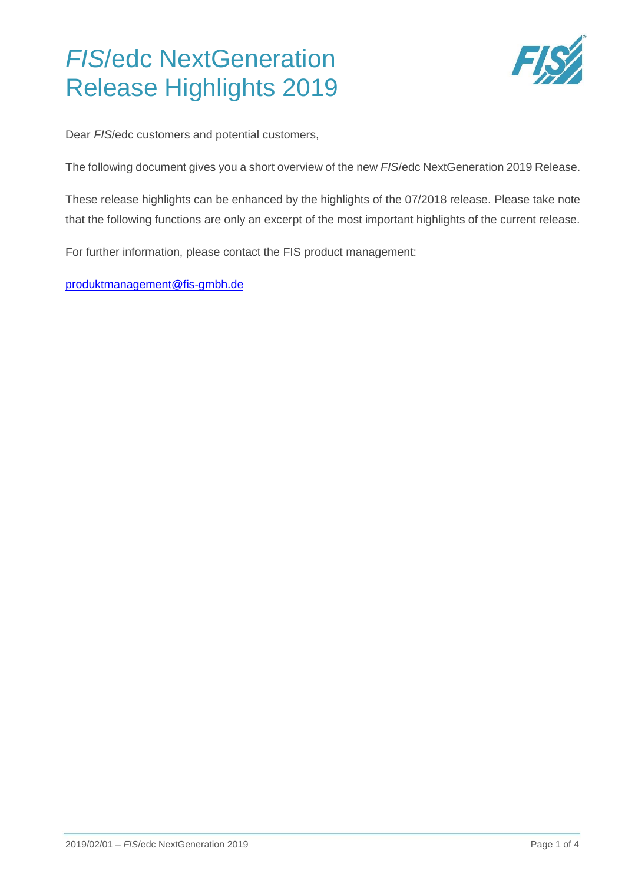

Dear *FIS*/edc customers and potential customers,

The following document gives you a short overview of the new *FIS*/edc NextGeneration 2019 Release.

These release highlights can be enhanced by the highlights of the 07/2018 release. Please take note that the following functions are only an excerpt of the most important highlights of the current release.

For further information, please contact the FIS product management:

[produktmanagement@fis-gmbh.de](mailto:produktmanagement@fis-gmbh.de)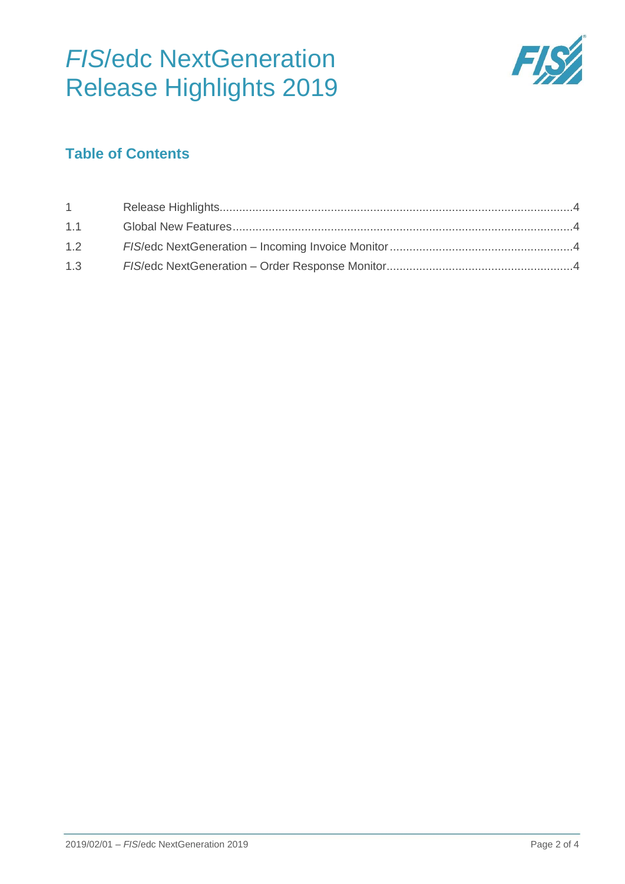

### **Table of Contents**

| $1 \quad \Box$ |  |
|----------------|--|
| 1.1            |  |
| 1.2            |  |
|                |  |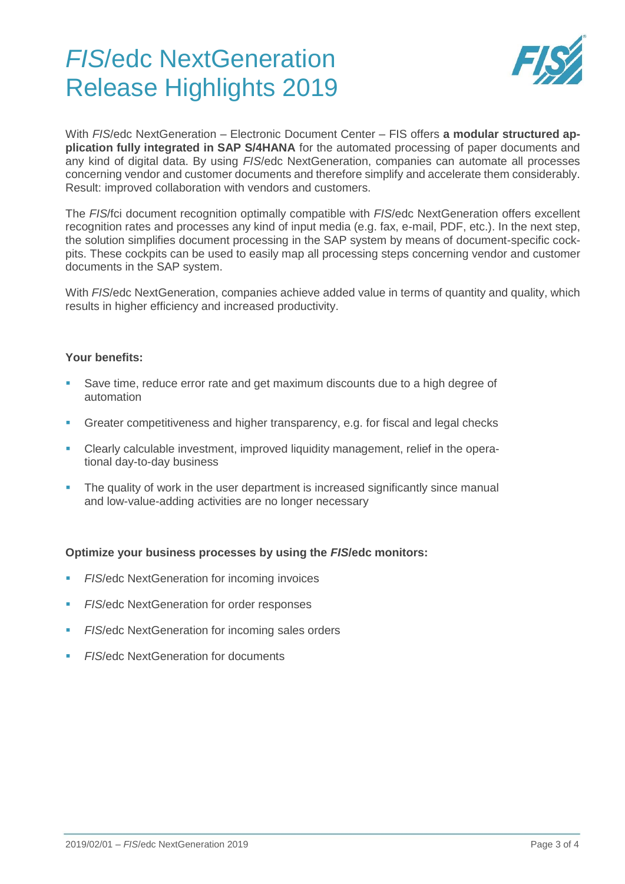

With *FIS*/edc NextGeneration – Electronic Document Center – FIS offers **a modular structured application fully integrated in SAP S/4HANA** for the automated processing of paper documents and any kind of digital data. By using *FIS*/edc NextGeneration, companies can automate all processes concerning vendor and customer documents and therefore simplify and accelerate them considerably. Result: improved collaboration with vendors and customers.

The *FIS*/fci [document recognition](http://fis-gmbh.de/dokumentenerkennung.html) optimally compatible with *FIS*/edc NextGeneration offers excellent recognition rates and processes any kind of input media (e.g. fax, e-mail, PDF, etc.). In the next step, the solution simplifies [document processing i](http://fis-gmbh.de/belegverarbeitung-sap.html)n the SAP system by means of document-specific cockpits. These cockpits can be used to easily map all processing steps concerning vendor and customer documents in the SAP system.

With *FIS*/edc NextGeneration, companies achieve added value in terms of quantity and quality, which results in higher efficiency and increased productivity.

#### **Your benefits:**

- Save time, reduce error rate and get maximum discounts due to a high degree of automation
- Greater competitiveness and higher transparency, e.g. for fiscal and legal checks
- Clearly calculable investment, improved liquidity management, relief in the operational day-to-day business
- The quality of work in the user department is increased significantly since manual and low-value-adding activities are no longer necessary

#### **Optimize your business processes by using the** *FIS***/edc monitors:**

- *FIS*[/edc NextGeneration for incoming invoices](http://fis-gmbh.de/eingangsrechnungen.html)
- *FIS*[/edc NextGeneration for order responses](http://fis-gmbh.de/auftrags-und-bestellbestaetigungsmonitor.html)
- *FIS*[/edc NextGeneration for incoming sales orders](http://fis-gmbh.de/kundenbestellungen.html)
- *FIS***[/edc NextGeneration for documents](http://fis-gmbh.de/dokumente.html)**